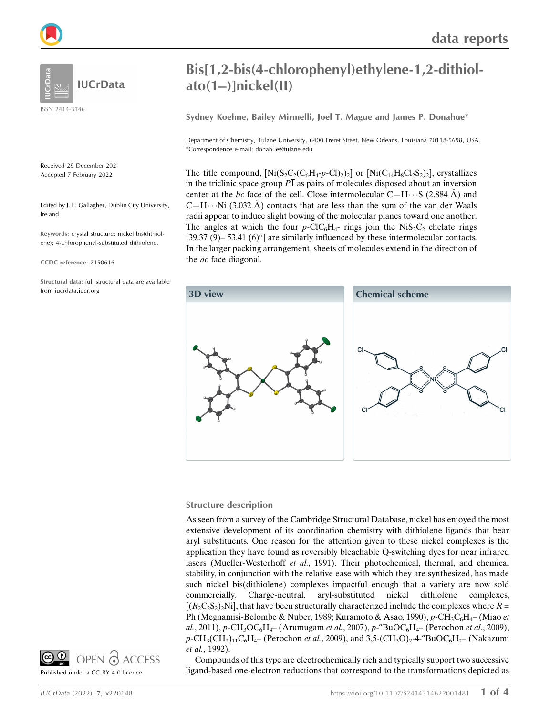

**IUCrData** 

ISSN 2414-3146

Received 29 December 2021 Accepted 7 February 2022

Edited by J. F. Gallagher, Dublin City University, Ireland

Keywords: crystal structure; nickel bis(dithiolene); 4-chlorophenyl-substituted dithiolene.

CCDC reference: 2150616

Structural data: full structural data are available from iucrdata.iucr.org

## Bis[1,2-bis(4-chlorophenyl)ethylene-1,2-dithiolato(1–)]nickel(II)

Sydney Koehne, Bailey Mirmelli, Joel T. Mague and James P. Donahue\*

Department of Chemistry, Tulane University, 6400 Freret Street, New Orleans, Louisiana 70118-5698, USA. \*Correspondence e-mail: donahue@tulane.edu

The title compound,  $[Ni(S_2C_2(C_6H_4-p-CI)_2)_2]$  or  $[Ni(C_{14}H_8CI_2S_2)_2]$ , crystallizes in the triclinic space group  $\overline{P1}$  as pairs of molecules disposed about an inversion center at the bc face of the cell. Close intermolecular  $C-H \cdots S$  (2.884 Å) and C-H $\cdots$ Ni (3.032 Å) contacts that are less than the sum of the van der Waals radii appear to induce slight bowing of the molecular planes toward one another. The angles at which the four  $p$ -ClC<sub>6</sub>H<sub>4</sub>- rings join the NiS<sub>2</sub>C<sub>2</sub> chelate rings [39.37 (9)– 53.41 (6) $^{\circ}$ ] are similarly influenced by these intermolecular contacts. In the larger packing arrangement, sheets of molecules extend in the direction of the ac face diagonal.



#### Structure description

As seen from a survey of the Cambridge Structural Database, nickel has enjoyed the most extensive development of its coordination chemistry with dithiolene ligands that bear aryl substituents. One reason for the attention given to these nickel complexes is the application they have found as reversibly bleachable Q-switching dyes for near infrared lasers (Mueller-Westerhoff et al., 1991). Their photochemical, thermal, and chemical stability, in conjunction with the relative ease with which they are synthesized, has made such nickel bis(dithiolene) complexes impactful enough that a variety are now sold commercially. Charge-neutral, aryl-substituted nickel dithiolene complexes,  $[(R_2C_2S_2)_2$ Ni], that have been structurally characterized include the complexes where  $R =$ Ph (Megnamisi-Belombe & Nuber, 1989; Kuramoto & Asao, 1990), p-CH<sub>3</sub>C<sub>6</sub>H<sub>4</sub>– (Miao et al., 2011), p-CH<sub>3</sub>OC<sub>6</sub>H<sub>4</sub>– (Arumugam et al., 2007), p-<sup>n</sup>BuOC<sub>6</sub>H<sub>4</sub>– (Perochon et al., 2009),  $p\text{-CH}_3(CH_2)_{11}C_6H_4$ – (Perochon *et al.*, 2009), and 3,5-(CH<sub>3</sub>O)<sub>2</sub>-4-<sup>n</sup>BuOC<sub>6</sub>H<sub>2</sub>– (Nakazumi et al., 1992).

Compounds of this type are electrochemically rich and typically support two successive ligand-based one-electron reductions that correspond to the transformations depicted as

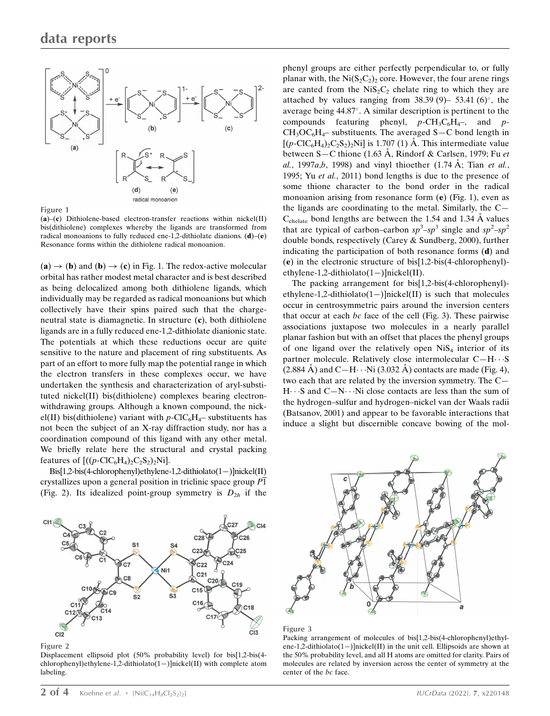

Figure 1

 $(a)$ – $(c)$  Dithiolene-based electron-transfer reactions within nickel $(II)$ bis(dithiolene) complexes whereby the ligands are transformed from radical monoanions to fully reduced ene-1,2-dithiolate dianions.  $(d)$ – $(e)$ Resonance forms within the dithiolene radical monoanion.

 $(a) \rightarrow (b)$  and  $(b) \rightarrow (c)$  in Fig. 1. The redox-active molecular orbital has rather modest metal character and is best described as being delocalized among both dithiolene ligands, which individually may be regarded as radical monoanions but which collectively have their spins paired such that the chargeneutral state is diamagnetic. In structure (c), both dithiolene ligands are in a fully reduced ene-1,2-dithiolate dianionic state. The potentials at which these reductions occur are quite sensitive to the nature and placement of ring substituents. As part of an effort to more fully map the potential range in which the electron transfers in these complexes occur, we have undertaken the synthesis and characterization of aryl-substituted nickel(II) bis(dithiolene) complexes bearing electronwithdrawing groups. Although a known compound, the nickel(II) bis(dithiolene) variant with  $p$ -ClC<sub>6</sub>H<sub>4</sub>– substituents has not been the subject of an X-ray diffraction study, nor has a coordination compound of this ligand with any other metal. We briefly relate here the structural and crystal packing features of  $[(p\text{-}ClC_6H_4)_2C_2S_2)_2Ni]$ .

 $Bis[1,2-bis(4-chloropheny])$ ethylene-1,2-dithiolato $(1-)$ ]nickel(II) crystallizes upon a general position in triclinic space group  $\overline{P1}$ (Fig. 2). Its idealized point-group symmetry is  $D_{2h}$  if the



Figure 2

Displacement ellipsoid plot (50% probability level) for bis[1,2-bis(4 chlorophenyl)ethylene-1,2-dithiolato(1-)]nickel(II) with complete atom labeling.

phenyl groups are either perfectly perpendicular to, or fully planar with, the Ni $(S_2C_2)$  core. However, the four arene rings are canted from the  $NiS_2C_2$  chelate ring to which they are attached by values ranging from  $38.39(9)$ – 53.41 (6)°, the average being 44.87°. A similar description is pertinent to the compounds featuring phenyl,  $p-\text{CH}_3\text{C}_6\text{H}_4$ –, and p- $CH_3OC_6H_4$ – substituents. The averaged S–C bond length in  $[(p\text{-}C_6H_4)_2C_2S_2)_2$ Ni] is 1.707 (1) Å. This intermediate value between S-C thione (1.63 Å, Rindorf & Carlsen, 1979; Fu et al., 1997a,b, 1998) and vinyl thioether  $(1.74 \text{ Å})$ ; Tian et al., 1995; Yu et al., 2011) bond lengths is due to the presence of some thione character to the bond order in the radical monoanion arising from resonance form (e) (Fig. 1), even as the ligands are coordinating to the metal. Similarly, the C—  $C_{\text{chelate}}$  bond lengths are between the 1.54 and 1.34 Å values that are typical of carbon–carbon  $sp^3$ – $sp^3$  single and  $sp^2$ – $sp^2$ double bonds, respectively (Carey & Sundberg, 2000), further indicating the participation of both resonance forms (d) and (e) in the electronic structure of bis[1,2-bis(4-chlorophenyl) ethylene-1,2-dithiolato $(1-)$ ]nickel(II).

The packing arrangement for bis[1,2-bis(4-chlorophenyl) ethylene-1,2-dithiolato(1-)]nickel(II) is such that molecules occur in centrosymmetric pairs around the inversion centers that occur at each  $bc$  face of the cell (Fig. 3). These pairwise associations juxtapose two molecules in a nearly parallel planar fashion but with an offset that places the phenyl groups of one ligand over the relatively open  $NiS<sub>4</sub>$  interior of its partner molecule. Relatively close intermolecular C-H···S  $(2.884 \text{ Å})$  and C $-H$ ···Ni $(3.032 \text{ Å})$  contacts are made (Fig. 4), two each that are related by the inversion symmetry. The C—  $H \cdot \cdot S$  and  $C-N \cdot \cdot Ni$  close contacts are less than the sum of the hydrogen–sulfur and hydrogen–nickel van der Waals radii (Batsanov, 2001) and appear to be favorable interactions that induce a slight but discernible concave bowing of the mol-





Packing arrangement of molecules of bis[1,2-bis(4-chlorophenyl)ethylene-1,2-dithiolato(1-)]nickel(II) in the unit cell. Ellipsoids are shown at the 50% probability level, and all H atoms are omitted for clarity. Pairs of molecules are related by inversion across the center of symmetry at the center of the bc face.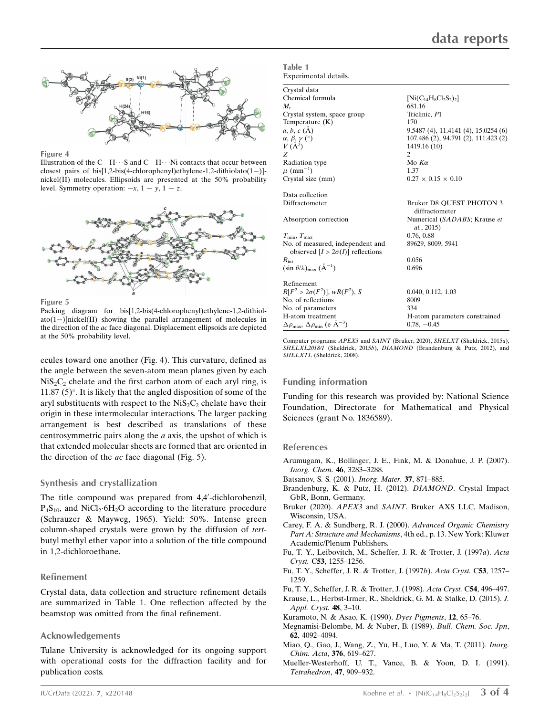

Figure 4

Illustration of the  $C-H\cdots S$  and  $C-H\cdots Ni$  contacts that occur between closest pairs of bis[1,2-bis(4-chlorophenyl)ethylene-1,2-dithiolato(1-)]nickel(II) molecules. Ellipsoids are presented at the 50% probability level. Symmetry operation:  $-x$ ,  $1 - y$ ,  $1 - z$ .



Figure 5

Packing diagram for bis[1,2-bis(4-chlorophenyl)ethylene-1,2-dithiol $ato(1-)|nickel(II)$  showing the parallel arrangement of molecules in the direction of the ac face diagonal. Displacement ellipsoids are depicted at the 50% probability level.

ecules toward one another (Fig. 4). This curvature, defined as the angle between the seven-atom mean planes given by each  $NiS<sub>2</sub>C<sub>2</sub>$  chelate and the first carbon atom of each aryl ring, is 11.87  $(5)^\circ$ . It is likely that the angled disposition of some of the aryl substituents with respect to the  $NiS<sub>2</sub>C<sub>2</sub>$  chelate have their origin in these intermolecular interactions. The larger packing arrangement is best described as translations of these centrosymmetric pairs along the a axis, the upshot of which is that extended molecular sheets are formed that are oriented in the direction of the  $ac$  face diagonal (Fig. 5).

#### Synthesis and crystallization

The title compound was prepared from 4,4'-dichlorobenzil,  $P_4S_{10}$ , and NiCl<sub>2</sub>.6H<sub>2</sub>O according to the literature procedure (Schrauzer & Mayweg, 1965). Yield: 50%. Intense green column-shaped crystals were grown by the diffusion of tertbutyl methyl ether vapor into a solution of the title compound in 1,2-dichloroethane.

#### Refinement

Crystal data, data collection and structure refinement details are summarized in Table 1. One reflection affected by the beamstop was omitted from the final refinement.

#### Acknowledgements

Tulane University is acknowledged for its ongoing support with operational costs for the diffraction facility and for publication costs.

| Experimental details.                                                        |                                            |
|------------------------------------------------------------------------------|--------------------------------------------|
| Crystal data                                                                 |                                            |
| Chemical formula                                                             | $[Ni(C_{14}H_8Cl_2S_2)_2]$                 |
| $M_{\rm r}$                                                                  | 681.16                                     |
| Crystal system, space group                                                  | Triclinic, P1                              |
| Temperature $(K)$                                                            | 170                                        |
| a, b, c(A)                                                                   | 9.5487 (4), 11.4141 (4), 15.0254 (6)       |
| $\alpha$ , $\beta$ , $\gamma$ (°)<br>$V(\AA^3)$                              | 107.486 (2), 94.791 (2), 111.423 (2)       |
|                                                                              | 1419.16 (10)                               |
| Z                                                                            | $\overline{c}$                             |
| Radiation type                                                               | Mo $K\alpha$                               |
| $\mu$ (mm <sup>-1</sup> )                                                    | 1.37                                       |
| Crystal size (mm)                                                            | $0.27 \times 0.15 \times 0.10$             |
| Data collection                                                              |                                            |
| Diffractometer                                                               | Bruker D8 OUEST PHOTON 3<br>diffractometer |
| Absorption correction                                                        | Numerical (SADABS; Krause et<br>al., 2015) |
| $T_{\min}, T_{\max}$                                                         | 0.76, 0.88                                 |
| No. of measured, independent and<br>observed $[I > 2\sigma(I)]$ reflections  | 89629, 8009, 5941                          |
| $R_{\rm int}$                                                                | 0.056                                      |
| $(\sin \theta/\lambda)_{\text{max}}$ $(\AA^{-1})$                            | 0.696                                      |
| Refinement                                                                   |                                            |
| $R[F^2 > 2\sigma(F^2)], wR(F^2), S$                                          | 0.040, 0.112, 1.03                         |
| No. of reflections                                                           | 8009                                       |
| No. of parameters                                                            | 334                                        |
| H-atom treatment                                                             | H-atom parameters constrained              |
| $\Delta \rho_{\text{max}}$ , $\Delta \rho_{\text{min}}$ (e Å <sup>-3</sup> ) | $0.78, -0.45$                              |

Computer programs: APEX3 and SAINT (Bruker, 2020), SHELXT (Sheldrick, 2015a), SHELXL2018/1 (Sheldrick, 2015b), DIAMOND (Brandenburg & Putz, 2012), and SHELXTL (Sheldrick, 2008).

#### Funding information

Funding for this research was provided by: National Science Foundation, Directorate for Mathematical and Physical Sciences (grant No. 1836589).

#### References

Table 1

- [Arumugam, K., Bollinger, J. E., Fink, M. & Donahue, J. P. \(2007\).](http://scripts.iucr.org/cgi-bin/cr.cgi?rm=pdfbb&cnor=gg4008&bbid=BB1) [Inorg. Chem.](http://scripts.iucr.org/cgi-bin/cr.cgi?rm=pdfbb&cnor=gg4008&bbid=BB1) 46, 3283–3288.
- [Batsanov, S. S. \(2001\).](http://scripts.iucr.org/cgi-bin/cr.cgi?rm=pdfbb&cnor=gg4008&bbid=BB2) Inorg. Mater. 37, 871–885.
- [Brandenburg, K. & Putz, H. \(2012\).](http://scripts.iucr.org/cgi-bin/cr.cgi?rm=pdfbb&cnor=gg4008&bbid=BB22) DIAMOND. Crystal Impact [GbR, Bonn, Germany.](http://scripts.iucr.org/cgi-bin/cr.cgi?rm=pdfbb&cnor=gg4008&bbid=BB22)
- Bruker (2020). APEX3 and SAINT[. Bruker AXS LLC, Madison,](http://scripts.iucr.org/cgi-bin/cr.cgi?rm=pdfbb&cnor=gg4008&bbid=BB3) [Wisconsin, USA.](http://scripts.iucr.org/cgi-bin/cr.cgi?rm=pdfbb&cnor=gg4008&bbid=BB3)
- [Carey, F. A. & Sundberg, R. J. \(2000\).](http://scripts.iucr.org/cgi-bin/cr.cgi?rm=pdfbb&cnor=gg4008&bbid=BB4) Advanced Organic Chemistry [Part A: Structure and Mechanisms](http://scripts.iucr.org/cgi-bin/cr.cgi?rm=pdfbb&cnor=gg4008&bbid=BB4), 4th ed., p. 13. New York: Kluwer [Academic/Plenum Publishers.](http://scripts.iucr.org/cgi-bin/cr.cgi?rm=pdfbb&cnor=gg4008&bbid=BB4)
- [Fu, T. Y., Leibovitch, M., Scheffer, J. R. & Trotter, J. \(1997](http://scripts.iucr.org/cgi-bin/cr.cgi?rm=pdfbb&cnor=gg4008&bbid=BB5)a). Acta Cryst. C53[, 1255–1256.](http://scripts.iucr.org/cgi-bin/cr.cgi?rm=pdfbb&cnor=gg4008&bbid=BB5)
- [Fu, T. Y., Scheffer, J. R. & Trotter, J. \(1997](http://scripts.iucr.org/cgi-bin/cr.cgi?rm=pdfbb&cnor=gg4008&bbid=BB6)b). Acta Cryst. C53, 1257– [1259.](http://scripts.iucr.org/cgi-bin/cr.cgi?rm=pdfbb&cnor=gg4008&bbid=BB6)
- [Fu, T. Y., Scheffer, J. R. & Trotter, J. \(1998\).](http://scripts.iucr.org/cgi-bin/cr.cgi?rm=pdfbb&cnor=gg4008&bbid=BB7) Acta Cryst. C54, 496–497.
- [Krause, L., Herbst-Irmer, R., Sheldrick, G. M. & Stalke, D. \(2015\).](http://scripts.iucr.org/cgi-bin/cr.cgi?rm=pdfbb&cnor=gg4008&bbid=BB8) J. [Appl. Cryst.](http://scripts.iucr.org/cgi-bin/cr.cgi?rm=pdfbb&cnor=gg4008&bbid=BB8) **48**, 3-10.
- [Kuramoto, N. & Asao, K. \(1990\).](http://scripts.iucr.org/cgi-bin/cr.cgi?rm=pdfbb&cnor=gg4008&bbid=BB9) Dyes Pigments, 12, 65–76.
- [Megnamisi-Belombe, M. & Nuber, B. \(1989\).](http://scripts.iucr.org/cgi-bin/cr.cgi?rm=pdfbb&cnor=gg4008&bbid=BB10) Bull. Chem. Soc. Jpn, 62[, 4092–4094.](http://scripts.iucr.org/cgi-bin/cr.cgi?rm=pdfbb&cnor=gg4008&bbid=BB10)
- [Miao, Q., Gao, J., Wang, Z., Yu, H., Luo, Y. & Ma, T. \(2011\).](http://scripts.iucr.org/cgi-bin/cr.cgi?rm=pdfbb&cnor=gg4008&bbid=BB11) Inorg. [Chim. Acta](http://scripts.iucr.org/cgi-bin/cr.cgi?rm=pdfbb&cnor=gg4008&bbid=BB11), 376, 619–627.
- [Mueller-Westerhoff, U. T., Vance, B. & Yoon, D. I. \(1991\).](http://scripts.iucr.org/cgi-bin/cr.cgi?rm=pdfbb&cnor=gg4008&bbid=BB12) [Tetrahedron](http://scripts.iucr.org/cgi-bin/cr.cgi?rm=pdfbb&cnor=gg4008&bbid=BB12), 47, 909–932.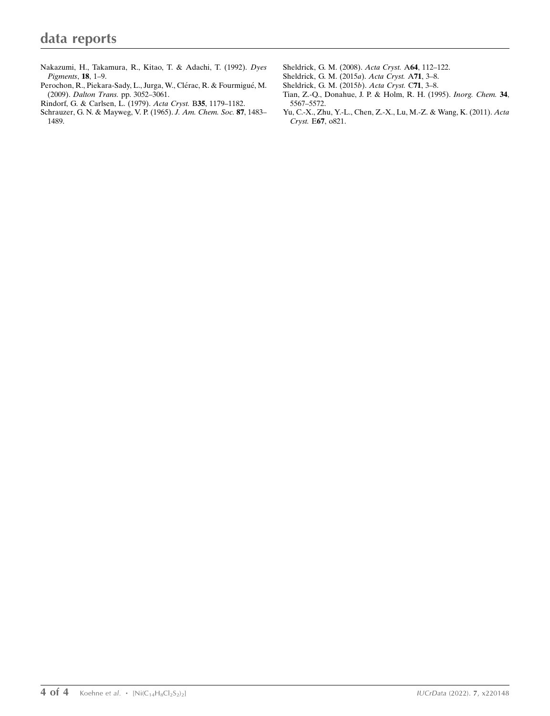- [Nakazumi, H., Takamura, R., Kitao, T. & Adachi, T. \(1992\).](http://scripts.iucr.org/cgi-bin/cr.cgi?rm=pdfbb&cnor=gg4008&bbid=BB20) Dyes [Pigments](http://scripts.iucr.org/cgi-bin/cr.cgi?rm=pdfbb&cnor=gg4008&bbid=BB20), 18, 1–9.
- Perochon, R., Piekara-Sady, L., Jurga, W., Clérac, R. & Fourmigué, M. (2009). Dalton Trans. [pp. 3052–3061.](http://scripts.iucr.org/cgi-bin/cr.cgi?rm=pdfbb&cnor=gg4008&bbid=BB14)
- [Rindorf, G. & Carlsen, L. \(1979\).](http://scripts.iucr.org/cgi-bin/cr.cgi?rm=pdfbb&cnor=gg4008&bbid=BB15) Acta Cryst. B35, 1179–1182.
- [Schrauzer, G. N. & Mayweg, V. P. \(1965\).](http://scripts.iucr.org/cgi-bin/cr.cgi?rm=pdfbb&cnor=gg4008&bbid=BB16) J. Am. Chem. Soc. 87, 1483– [1489.](http://scripts.iucr.org/cgi-bin/cr.cgi?rm=pdfbb&cnor=gg4008&bbid=BB16)
- [Sheldrick, G. M. \(2008\).](http://scripts.iucr.org/cgi-bin/cr.cgi?rm=pdfbb&cnor=gg4008&bbid=BB17) Acta Cryst. A64, 112–122.
- [Sheldrick, G. M. \(2015](http://scripts.iucr.org/cgi-bin/cr.cgi?rm=pdfbb&cnor=gg4008&bbid=BB18)a). Acta Cryst. A71, 3–8.
- [Sheldrick, G. M. \(2015](http://scripts.iucr.org/cgi-bin/cr.cgi?rm=pdfbb&cnor=gg4008&bbid=BB19)b). Acta Cryst. C71, 3–8.
- [Tian, Z.-Q., Donahue, J. P. & Holm, R. H. \(1995\).](http://scripts.iucr.org/cgi-bin/cr.cgi?rm=pdfbb&cnor=gg4008&bbid=BB20) Inorg. Chem. 34, [5567–5572.](http://scripts.iucr.org/cgi-bin/cr.cgi?rm=pdfbb&cnor=gg4008&bbid=BB20)
- [Yu, C.-X., Zhu, Y.-L., Chen, Z.-X., Lu, M.-Z. & Wang, K. \(2011\).](http://scripts.iucr.org/cgi-bin/cr.cgi?rm=pdfbb&cnor=gg4008&bbid=BB21) Acta Cryst. E67[, o821.](http://scripts.iucr.org/cgi-bin/cr.cgi?rm=pdfbb&cnor=gg4008&bbid=BB21)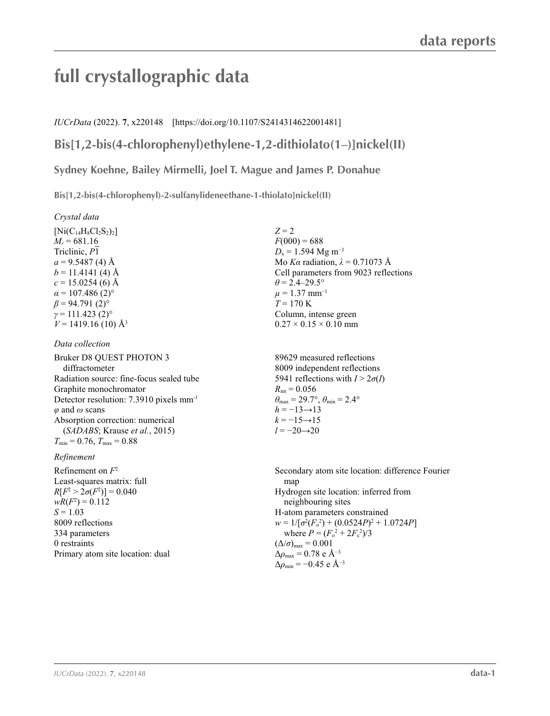# **full crystallographic data**

### *IUCrData* (2022). **7**, x220148 [https://doi.org/10.1107/S2414314622001481]

## **Bis[1,2-bis(4-chlorophenyl)ethylene-1,2-dithiolato(1–)]nickel(II)**

**Sydney Koehne, Bailey Mirmelli, Joel T. Mague and James P. Donahue**

**Bis[1,2-bis(4-chlorophenyl)-2-sulfanylideneethane-1-thiolato]nickel(II)** 

*Crystal data*

 $[Ni(C_{14}H_8Cl_2S_2)_2]$  $M_r = 681.16$ Triclinic, *P*1  $a = 9.5487(4)$  Å  $b = 11.4141(4)$  Å  $c = 15.0254(6)$  Å  $\alpha$  = 107.486 (2)<sup>o</sup>  $\beta$  = 94.791 (2)<sup>o</sup>  $\gamma$  = 111.423 (2)<sup>o</sup>  $V = 1419.16(10)$  Å<sup>3</sup>

*Data collection*

Bruker D8 QUEST PHOTON 3 diffractometer Radiation source: fine-focus sealed tube Graphite monochromator Detector resolution: 7.3910 pixels mm-1 *φ* and *ω* scans Absorption correction: numerical (*SADABS*; Krause *et al.*, 2015)  $T_{\min} = 0.76$ ,  $T_{\max} = 0.88$ 

#### *Refinement*

Refinement on *F*<sup>2</sup> Least-squares matrix: full  $R[F^2 > 2\sigma(F^2)] = 0.040$  $wR(F^2) = 0.112$  $S = 1.03$ 8009 reflections 334 parameters 0 restraints Primary atom site location: dual  $Z = 2$  $F(000) = 688$  $D_x = 1.594$  Mg m<sup>-3</sup> Mo *Kα* radiation, *λ* = 0.71073 Å Cell parameters from 9023 reflections  $\theta$  = 2.4–29.5°  $\mu = 1.37$  mm<sup>-1</sup>  $T = 170 \text{ K}$ Column, intense green  $0.27 \times 0.15 \times 0.10$  mm

89629 measured reflections 8009 independent reflections 5941 reflections with  $I > 2\sigma(I)$  $R_{\text{int}} = 0.056$  $\theta_{\text{max}} = 29.7^{\circ}, \theta_{\text{min}} = 2.4^{\circ}$  $h = -13 \rightarrow 13$  $k = -15 \rightarrow 15$ *l* = −20→20

Secondary atom site location: difference Fourier map Hydrogen site location: inferred from neighbouring sites H-atom parameters constrained  $w = 1/[\sigma^2(F_0^2) + (0.0524P)^2 + 1.0724P]$ where  $P = (F_o^2 + 2F_c^2)/3$  $(\Delta/\sigma)_{\text{max}} = 0.001$ Δ*ρ*max = 0.78 e Å−3  $\Delta\rho_{\rm min} = -0.45$  e Å<sup>-3</sup>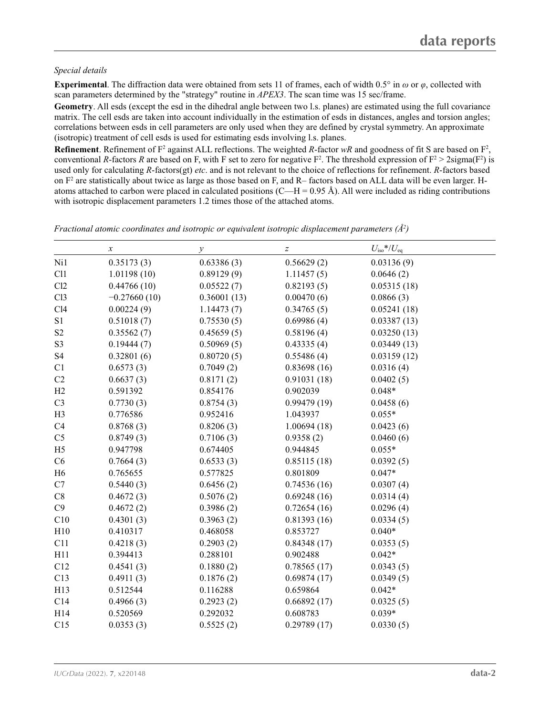#### *Special details*

**Experimental**. The diffraction data were obtained from sets 11 of frames, each of width 0.5° in *ω* or *φ*, collected with scan parameters determined by the "strategy" routine in *APEX3*. The scan time was 15 sec/frame.

**Geometry**. All esds (except the esd in the dihedral angle between two l.s. planes) are estimated using the full covariance matrix. The cell esds are taken into account individually in the estimation of esds in distances, angles and torsion angles; correlations between esds in cell parameters are only used when they are defined by crystal symmetry. An approximate (isotropic) treatment of cell esds is used for estimating esds involving l.s. planes.

**Refinement**. Refinement of  $F^2$  against ALL reflections. The weighted R-factor wR and goodness of fit S are based on  $F^2$ , conventional *R*-factors *R* are based on F, with F set to zero for negative  $F^2$ . The threshold expression of  $F^2 > 2$ sigma( $F^2$ ) is used only for calculating *R*-factors(gt) *etc*. and is not relevant to the choice of reflections for refinement. *R*-factors based on  $F<sup>2</sup>$  are statistically about twice as large as those based on F, and R– factors based on ALL data will be even larger. Hatoms attached to carbon were placed in calculated positions (C—H = 0.95 Å). All were included as riding contributions with isotropic displacement parameters 1.2 times those of the attached atoms.

*x*  $\qquad \qquad y$   $\qquad \qquad z$   $U_{\text{iso}}$  \*/ $U_{\text{eq}}$ Ni1 0.35173 (3) 0.63386 (3) 0.56629 (2) 0.03136 (9) Cl1 1.01198 (10) 0.89129 (9) 1.11457 (5) 0.0646 (2) Cl2  $0.44766 (10)$   $0.05522 (7)$   $0.82193 (5)$   $0.05315 (18)$ Cl3  $-0.27660(10)$   $0.36001(13)$   $0.00470(6)$   $0.0866(3)$ Cl4 0.00224 (9) 1.14473 (7) 0.34765 (5) 0.05241 (18) S1 0.51018 (7) 0.75530 (5) 0.69986 (4) 0.03387 (13) S2 0.35562 (7) 0.45659 (5) 0.58196 (4) 0.03250 (13) S3 0.19444 (7) 0.50969 (5) 0.43335 (4) 0.03449 (13) S4 0.32801 (6) 0.80720 (5) 0.55486 (4) 0.03159 (12) C1  $0.6573(3)$   $0.7049(2)$   $0.83698(16)$   $0.0316(4)$ C2  $0.6637(3)$   $0.8171(2)$   $0.91031(18)$   $0.0402(5)$ H2 0.591392 0.854176 0.902039 0.048\* C3 0.7730 (3) 0.8754 (3) 0.99479 (19) 0.0458 (6) H3 0.776586 0.952416 1.043937 0.055\* C4  $0.8768(3)$   $0.8206(3)$   $1.00694(18)$   $0.0423(6)$ C5 0.8749 (3) 0.7106 (3) 0.9358 (2) 0.0460 (6) H5 0.947798 0.674405 0.944845 0.055\* C6 0.7664 (3) 0.6533 (3) 0.85115 (18) 0.0392 (5) H6 0.765655 0.577825 0.801809 0.047\* C7 0.5440 (3) 0.6456 (2) 0.74536 (16) 0.0307 (4) C8  $0.4672(3)$   $0.5076(2)$   $0.69248(16)$   $0.0314(4)$  $C9$  0.4672 (2) 0.3986 (2) 0.72654 (16) 0.0296 (4) C10 0.4301 (3) 0.3963 (2) 0.81393 (16) 0.0334 (5) H10 0.410317 0.468058 0.853727 0.040\* C11 0.4218 (3) 0.2903 (2) 0.84348 (17) 0.0353 (5) H11 0.394413 0.288101 0.902488 0.042\* C12 0.4541 (3) 0.1880 (2) 0.78565 (17) 0.0343 (5) C13 0.4911 (3) 0.1876 (2) 0.69874 (17) 0.0349 (5) H13 0.512544 0.116288 0.659864 0.042\* C14 0.4966 (3) 0.2923 (2) 0.66892 (17) 0.0325 (5) H14 0.520569 0.292032 0.608783 0.039\* C15 0.0353 (3) 0.5525 (2) 0.29789 (17) 0.0330 (5)

*Fractional atomic coordinates and isotropic or equivalent isotropic displacement parameters (Å2 )*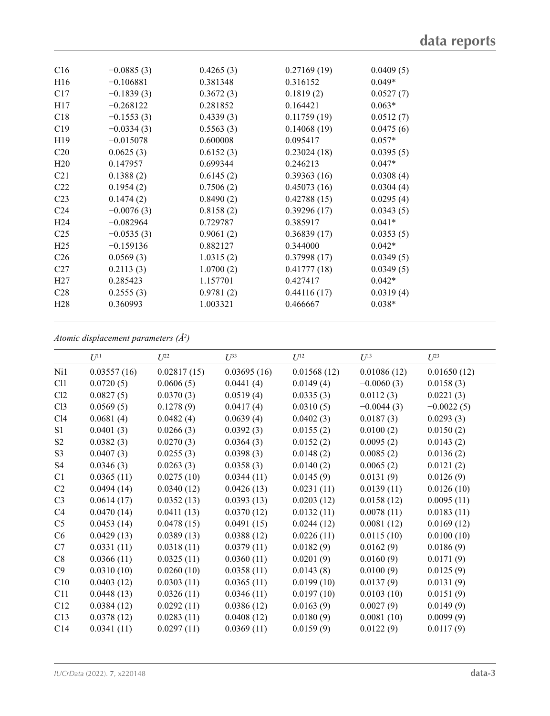| C16             | $-0.0885(3)$ | 0.4265(3) | 0.27169(19) | 0.0409(5) |
|-----------------|--------------|-----------|-------------|-----------|
| H16             | $-0.106881$  | 0.381348  | 0.316152    | $0.049*$  |
| C17             | $-0.1839(3)$ | 0.3672(3) | 0.1819(2)   | 0.0527(7) |
| H17             | $-0.268122$  | 0.281852  | 0.164421    | $0.063*$  |
| C18             | $-0.1553(3)$ | 0.4339(3) | 0.11759(19) | 0.0512(7) |
| C19             | $-0.0334(3)$ | 0.5563(3) | 0.14068(19) | 0.0475(6) |
| H <sub>19</sub> | $-0.015078$  | 0.600008  | 0.095417    | $0.057*$  |
| C <sub>20</sub> | 0.0625(3)    | 0.6152(3) | 0.23024(18) | 0.0395(5) |
| H20             | 0.147957     | 0.699344  | 0.246213    | $0.047*$  |
| C <sub>21</sub> | 0.1388(2)    | 0.6145(2) | 0.39363(16) | 0.0308(4) |
| C <sub>22</sub> | 0.1954(2)    | 0.7506(2) | 0.45073(16) | 0.0304(4) |
| C <sub>23</sub> | 0.1474(2)    | 0.8490(2) | 0.42788(15) | 0.0295(4) |
| C <sub>24</sub> | $-0.0076(3)$ | 0.8158(2) | 0.39296(17) | 0.0343(5) |
| H <sub>24</sub> | $-0.082964$  | 0.729787  | 0.385917    | $0.041*$  |
| C <sub>25</sub> | $-0.0535(3)$ | 0.9061(2) | 0.36839(17) | 0.0353(5) |
| H <sub>25</sub> | $-0.159136$  | 0.882127  | 0.344000    | $0.042*$  |
| C <sub>26</sub> | 0.0569(3)    | 1.0315(2) | 0.37998(17) | 0.0349(5) |
| C27             | 0.2113(3)    | 1.0700(2) | 0.41777(18) | 0.0349(5) |
| H <sub>27</sub> | 0.285423     | 1.157701  | 0.427417    | $0.042*$  |
| C <sub>28</sub> | 0.2555(3)    | 0.9781(2) | 0.44116(17) | 0.0319(4) |
| H <sub>28</sub> | 0.360993     | 1.003321  | 0.466667    | $0.038*$  |
|                 |              |           |             |           |

*Atomic displacement parameters (Å2 )*

| $U^{11}$    | $L^{22}$    | $U^{33}$    | $U^{12}$    | $U^{13}$     | $U^{23}$     |
|-------------|-------------|-------------|-------------|--------------|--------------|
| 0.03557(16) | 0.02817(15) | 0.03695(16) | 0.01568(12) | 0.01086(12)  | 0.01650(12)  |
| 0.0720(5)   | 0.0606(5)   | 0.0441(4)   | 0.0149(4)   | $-0.0060(3)$ | 0.0158(3)    |
| 0.0827(5)   | 0.0370(3)   | 0.0519(4)   | 0.0335(3)   | 0.0112(3)    | 0.0221(3)    |
| 0.0569(5)   | 0.1278(9)   | 0.0417(4)   | 0.0310(5)   | $-0.0044(3)$ | $-0.0022(5)$ |
| 0.0681(4)   | 0.0482(4)   | 0.0639(4)   | 0.0402(3)   | 0.0187(3)    | 0.0293(3)    |
| 0.0401(3)   | 0.0266(3)   | 0.0392(3)   | 0.0155(2)   | 0.0100(2)    | 0.0150(2)    |
| 0.0382(3)   | 0.0270(3)   | 0.0364(3)   | 0.0152(2)   | 0.0095(2)    | 0.0143(2)    |
| 0.0407(3)   | 0.0255(3)   | 0.0398(3)   | 0.0148(2)   | 0.0085(2)    | 0.0136(2)    |
| 0.0346(3)   | 0.0263(3)   | 0.0358(3)   | 0.0140(2)   | 0.0065(2)    | 0.0121(2)    |
| 0.0365(11)  | 0.0275(10)  | 0.0344(11)  | 0.0145(9)   | 0.0131(9)    | 0.0126(9)    |
| 0.0494(14)  | 0.0340(12)  | 0.0426(13)  | 0.0231(11)  | 0.0139(11)   | 0.0126(10)   |
| 0.0614(17)  | 0.0352(13)  | 0.0393(13)  | 0.0203(12)  | 0.0158(12)   | 0.0095(11)   |
| 0.0470(14)  | 0.0411(13)  | 0.0370(12)  | 0.0132(11)  | 0.0078(11)   | 0.0183(11)   |
| 0.0453(14)  | 0.0478(15)  | 0.0491(15)  | 0.0244(12)  | 0.0081(12)   | 0.0169(12)   |
| 0.0429(13)  | 0.0389(13)  | 0.0388(12)  | 0.0226(11)  | 0.0115(10)   | 0.0100(10)   |
| 0.0331(11)  | 0.0318(11)  | 0.0379(11)  | 0.0182(9)   | 0.0162(9)    | 0.0186(9)    |
| 0.0366(11)  | 0.0325(11)  | 0.0360(11)  | 0.0201(9)   | 0.0160(9)    | 0.0171(9)    |
| 0.0310(10)  | 0.0260(10)  | 0.0358(11)  | 0.0143(8)   | 0.0100(9)    | 0.0125(9)    |
| 0.0403(12)  | 0.0303(11)  | 0.0365(11)  | 0.0199(10)  | 0.0137(9)    | 0.0131(9)    |
| 0.0448(13)  | 0.0326(11)  | 0.0346(11)  | 0.0197(10)  | 0.0103(10)   | 0.0151(9)    |
| 0.0384(12)  | 0.0292(11)  | 0.0386(12)  | 0.0163(9)   | 0.0027(9)    | 0.0149(9)    |
| 0.0378(12)  | 0.0283(11)  | 0.0408(12)  | 0.0180(9)   | 0.0081(10)   | 0.0099(9)    |
| 0.0341(11)  | 0.0297(11)  | 0.0369(11)  | 0.0159(9)   | 0.0122(9)    | 0.0117(9)    |
|             |             |             |             |              |              |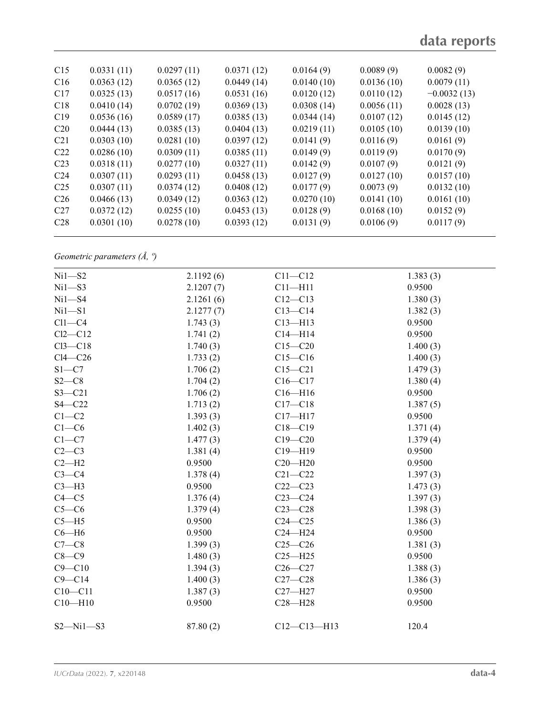| C15             | 0.0331(11) | 0.0297(11) | 0.0371(12) | 0.0164(9)  | 0.0089(9)  | 0.0082(9)     |  |
|-----------------|------------|------------|------------|------------|------------|---------------|--|
| C16             | 0.0363(12) | 0.0365(12) | 0.0449(14) | 0.0140(10) | 0.0136(10) | 0.0079(11)    |  |
| C17             | 0.0325(13) | 0.0517(16) | 0.0531(16) | 0.0120(12) | 0.0110(12) | $-0.0032(13)$ |  |
| C18             | 0.0410(14) | 0.0702(19) | 0.0369(13) | 0.0308(14) | 0.0056(11) | 0.0028(13)    |  |
| C19             | 0.0536(16) | 0.0589(17) | 0.0385(13) | 0.0344(14) | 0.0107(12) | 0.0145(12)    |  |
| C <sub>20</sub> | 0.0444(13) | 0.0385(13) | 0.0404(13) | 0.0219(11) | 0.0105(10) | 0.0139(10)    |  |
| C <sub>21</sub> | 0.0303(10) | 0.0281(10) | 0.0397(12) | 0.0141(9)  | 0.0116(9)  | 0.0161(9)     |  |
| C <sub>22</sub> | 0.0286(10) | 0.0309(11) | 0.0385(11) | 0.0149(9)  | 0.0119(9)  | 0.0170(9)     |  |
| C <sub>23</sub> | 0.0318(11) | 0.0277(10) | 0.0327(11) | 0.0142(9)  | 0.0107(9)  | 0.0121(9)     |  |
| C <sub>24</sub> | 0.0307(11) | 0.0293(11) | 0.0458(13) | 0.0127(9)  | 0.0127(10) | 0.0157(10)    |  |
| C <sub>25</sub> | 0.0307(11) | 0.0374(12) | 0.0408(12) | 0.0177(9)  | 0.0073(9)  | 0.0132(10)    |  |
| C <sub>26</sub> | 0.0466(13) | 0.0349(12) | 0.0363(12) | 0.0270(10) | 0.0141(10) | 0.0161(10)    |  |
| C27             | 0.0372(12) | 0.0255(10) | 0.0453(13) | 0.0128(9)  | 0.0168(10) | 0.0152(9)     |  |
| C <sub>28</sub> | 0.0301(10) | 0.0278(10) | 0.0393(12) | 0.0131(9)  | 0.0106(9)  | 0.0117(9)     |  |
|                 |            |            |            |            |            |               |  |

*Geometric parameters (Å, º)*

| $Ni1 - S2$      | 2.1192(6) | $C11 - C12$   | 1.383(3) |  |
|-----------------|-----------|---------------|----------|--|
| $Ni1 - S3$      | 2.1207(7) | $C11 - H11$   | 0.9500   |  |
| $Ni1 - S4$      | 2.1261(6) | $C12-C13$     | 1.380(3) |  |
| $Ni1 - S1$      | 2.1277(7) | $C13-C14$     | 1.382(3) |  |
| $Cl1-C4$        | 1.743(3)  | $C13 - H13$   | 0.9500   |  |
| $Cl2-C12$       | 1.741(2)  | $C14 - H14$   | 0.9500   |  |
| $Cl3-C18$       | 1.740(3)  | $C15 - C20$   | 1.400(3) |  |
| $Cl4-C26$       | 1.733(2)  | $C15 - C16$   | 1.400(3) |  |
| $S1 - C7$       | 1.706(2)  | $C15 - C21$   | 1.479(3) |  |
| $S2-C8$         | 1.704(2)  | $C16 - C17$   | 1.380(4) |  |
| $S3 - C21$      | 1.706(2)  | $C16 - H16$   | 0.9500   |  |
| $S4 - C22$      | 1.713(2)  | $C17 - C18$   | 1.387(5) |  |
| $C1 - C2$       | 1.393(3)  | $C17 - H17$   | 0.9500   |  |
| $C1-C6$         | 1.402(3)  | $C18 - C19$   | 1.371(4) |  |
| $C1-C7$         | 1.477(3)  | $C19 - C20$   | 1.379(4) |  |
| $C2-C3$         | 1.381(4)  | C19-H19       | 0.9500   |  |
| $C2-H2$         | 0.9500    | $C20 - H20$   | 0.9500   |  |
| $C3-C4$         | 1.378(4)  | $C21 - C22$   | 1.397(3) |  |
| $C3-H3$         | 0.9500    | $C22-C23$     | 1.473(3) |  |
| $C4 - C5$       | 1.376(4)  | $C23-C24$     | 1.397(3) |  |
| $C5-C6$         | 1.379(4)  | $C23-C28$     | 1.398(3) |  |
| $C5 - H5$       | 0.9500    | $C24 - C25$   | 1.386(3) |  |
| $C6 - H6$       | 0.9500    | $C24 - H24$   | 0.9500   |  |
| $C7-C8$         | 1.399(3)  | $C25-C26$     | 1.381(3) |  |
| $C8-C9$         | 1.480(3)  | $C25 - H25$   | 0.9500   |  |
| $C9 - C10$      | 1.394(3)  | $C26-C27$     | 1.388(3) |  |
| $C9 - C14$      | 1.400(3)  | $C27-C28$     | 1.386(3) |  |
| $C10-C11$       | 1.387(3)  | $C27 - H27$   | 0.9500   |  |
| $C10 - H10$     | 0.9500    | $C28 - H28$   | 0.9500   |  |
| $S2 - Ni1 - S3$ | 87.80(2)  | $C12-C13-H13$ | 120.4    |  |
|                 |           |               |          |  |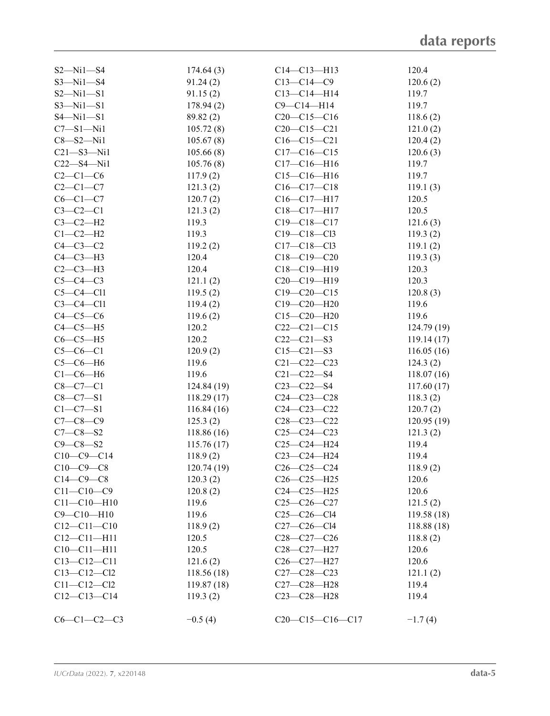| $C6-C1-C2-C3$     | $-0.5(4)$   | $C20-C15-C16-C17$                                 | $-1.7(4)$  |
|-------------------|-------------|---------------------------------------------------|------------|
|                   |             |                                                   |            |
| $C12-C13-C14$     | 119.3(2)    | $C23 - C28 - H28$                                 | 119.4      |
| $C11 - C12 - C12$ | 119.87(18)  | C27-C28-H28                                       | 119.4      |
| $C13 - C12 - C12$ | 118.56 (18) | $C27 - C28 - C23$                                 | 121.1(2)   |
| $C13 - C12 - C11$ | 121.6(2)    | C <sub>26</sub> -C <sub>27</sub> -H <sub>27</sub> | 120.6      |
| $C10 - C11 - H11$ | 120.5       | C <sub>28</sub> -C <sub>27</sub> -H <sub>27</sub> | 120.6      |
| $C12 - C11 - H11$ | 120.5       | $C28-C27-C26$                                     | 118.8(2)   |
| $C12 - C11 - C10$ | 118.9(2)    | $C27 - C26 - C14$                                 | 118.88(18) |
| $C9 - C10 - H10$  | 119.6       | $C25 - C26 - C14$                                 | 119.58(18) |
| $C11 - C10 - H10$ | 119.6       | $C25-C26-C27$                                     | 121.5(2)   |
| $C11 - C10 - C9$  | 120.8(2)    | $C24 - C25 - H25$                                 | 120.6      |
| $C14-C9-C8$       | 120.3(2)    | $C26-C25-H25$                                     | 120.6      |
| $C10-C9-C8$       | 120.74(19)  | $C26 - C25 - C24$                                 | 118.9(2)   |
| $C10-C9-C14$      | 118.9(2)    | C23-C24-H24                                       | 119.4      |
| $C9 - C8 - S2$    | 115.76(17)  | $C25-C24-H24$                                     | 119.4      |
| $C7 - C8 - S2$    | 118.86(16)  | $C25-C24-C23$                                     | 121.3(2)   |
| $C7 - C8 - C9$    | 125.3(2)    | $C28 - C23 - C22$                                 | 120.95(19) |
| $C1 - C7 - S1$    | 116.84(16)  | $C24 - C23 - C22$                                 | 120.7(2)   |
|                   | 118.29(17)  |                                                   | 118.3(2)   |
| $C8 - C7 - S1$    |             | $C24 - C23 - C28$                                 |            |
| $C8 - C7 - C1$    | 124.84 (19) | $C23 - C22 - S4$                                  | 117.60(17) |
| $C1-C6-H6$        | 119.6       | $C21 - C22 - S4$                                  | 118.07(16) |
| $C5-C6-H6$        | 119.6       | $C21 - C22 - C23$                                 | 124.3(2)   |
| $C5-C6-C1$        | 120.9(2)    | $C15 - C21 - S3$                                  | 116.05(16) |
| $C6-C5-H5$        | 120.2       | $C22-C21-S3$                                      | 119.14(17) |
| $C4-C5-H5$        | 120.2       | $C22-C21-C15$                                     | 124.79(19) |
| $C4-C5-C6$        | 119.6(2)    | $C15 - C20 - H20$                                 | 119.6      |
| $C3-C4-C11$       | 119.4(2)    | $C19 - C20 - H20$                                 | 119.6      |
| $C5-C4-C11$       | 119.5(2)    | $C19 - C20 - C15$                                 | 120.8(3)   |
| $C5-C4-C3$        | 121.1(2)    | C20-C19-H19                                       | 120.3      |
| $C2-C3-H3$        | 120.4       | $C18 - C19 - H19$                                 | 120.3      |
| $C4-C3-H3$        | 120.4       | $C18 - C19 - C20$                                 | 119.3(3)   |
| $C4-C3-C2$        | 119.2(2)    | $C17 - C18 - C13$                                 | 119.1(2)   |
| $C1-C2-H2$        | 119.3       | $C19 - C18 - C13$                                 | 119.3(2)   |
| $C3-C2-H2$        | 119.3       | $C19 - C18 - C17$                                 | 121.6(3)   |
| $C3-C2-C1$        | 121.3(2)    | $C18 - C17 - H17$                                 | 120.5      |
| $C6-C1-C7$        | 120.7(2)    | C16-C17-H17                                       | 120.5      |
| $C2-C1-C7$        | 121.3(2)    | $C16-C17-C18$                                     | 119.1(3)   |
| $C2-C1-C6$        | 117.9(2)    | $C15-C16-H16$                                     | 119.7      |
| $C22 - S4 - N11$  | 105.76(8)   | $C17 - C16 - H16$                                 | 119.7      |
| $C21 - S3 - N11$  | 105.66(8)   | $C17 - C16 - C15$                                 | 120.6(3)   |
| $C8 - S2 - N11$   | 105.67(8)   | $C16-C15-C21$                                     | 120.4(2)   |
| $C7 - S1 - N11$   | 105.72(8)   | $C20-C15-C21$                                     | 121.0(2)   |
| $S4 - Ni1 - S1$   | 89.82 (2)   | $C20-C15-C16$                                     | 118.6(2)   |
| $S3 - Ni1 - S1$   | 178.94(2)   | $C9 - C14 - H14$                                  | 119.7      |
| $S2 - Ni1 - S1$   | 91.15(2)    | $C13 - C14 - H14$                                 | 119.7      |
| $S3 - N1 - S4$    | 91.24(2)    | $C13 - C14 - C9$                                  | 120.6(2)   |
| $S2 - Ni1 - S4$   | 174.64(3)   | $C14 - C13 - H13$                                 | 120.4      |
|                   |             |                                                   |            |